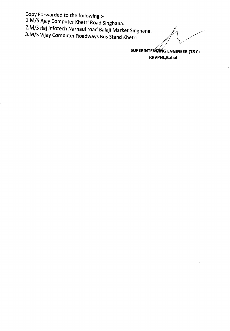Copy Forwarded to the following :\_

*1.M/S* Ajay Computer Khetri Road Singhana.

2.M/S Raj infotech Narnaul road Balaji Market Singhana.

3.M/S Vijay Computer Roadways Bus Stand Khetri.

SUPERINTENDING ENGINEER (T&C) RRVPNL,Babai